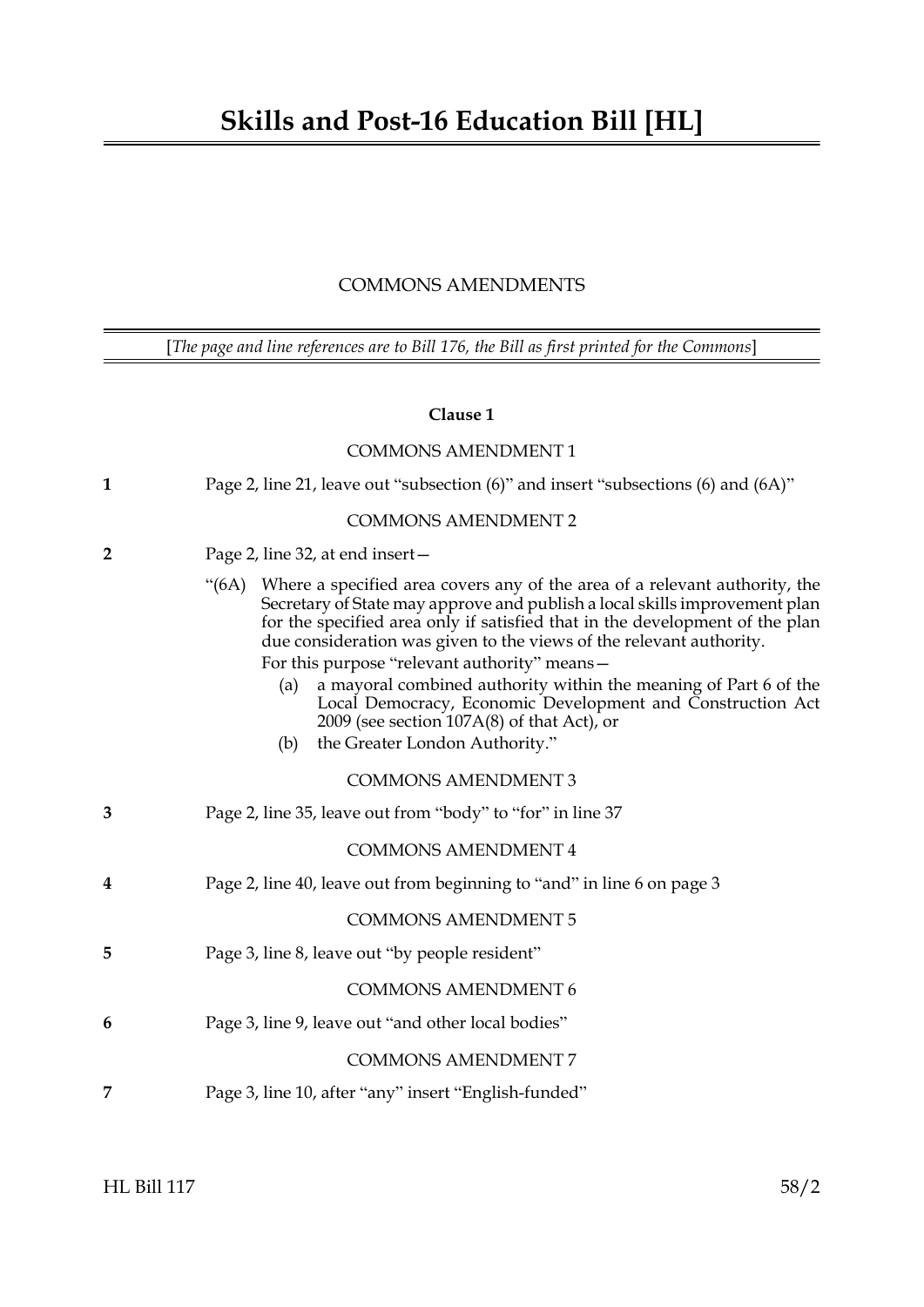# COMMONS AMENDMENTS

[*The page and line references are to Bill 176, the Bill as first printed for the Commons*]

## **Clause 1**

|                | <b>COMMONS AMENDMENT 1</b>                                                                                                                                                                                                                                                                                                                                                                                                                                                                                                                                               |
|----------------|--------------------------------------------------------------------------------------------------------------------------------------------------------------------------------------------------------------------------------------------------------------------------------------------------------------------------------------------------------------------------------------------------------------------------------------------------------------------------------------------------------------------------------------------------------------------------|
| 1              | Page 2, line 21, leave out "subsection (6)" and insert "subsections (6) and (6A)"                                                                                                                                                                                                                                                                                                                                                                                                                                                                                        |
|                | <b>COMMONS AMENDMENT 2</b>                                                                                                                                                                                                                                                                                                                                                                                                                                                                                                                                               |
| $\overline{2}$ | Page 2, line 32, at end insert-                                                                                                                                                                                                                                                                                                                                                                                                                                                                                                                                          |
|                | Where a specified area covers any of the area of a relevant authority, the<br>$\cdot (6A)$<br>Secretary of State may approve and publish a local skills improvement plan<br>for the specified area only if satisfied that in the development of the plan<br>due consideration was given to the views of the relevant authority.<br>For this purpose "relevant authority" means-<br>a mayoral combined authority within the meaning of Part 6 of the<br>(a)<br>Local Democracy, Economic Development and Construction Act<br>2009 (see section $107A(8)$ of that Act), or |
|                | the Greater London Authority."<br>(b)                                                                                                                                                                                                                                                                                                                                                                                                                                                                                                                                    |
|                | <b>COMMONS AMENDMENT 3</b>                                                                                                                                                                                                                                                                                                                                                                                                                                                                                                                                               |
| 3              | Page 2, line 35, leave out from "body" to "for" in line 37                                                                                                                                                                                                                                                                                                                                                                                                                                                                                                               |
|                | <b>COMMONS AMENDMENT 4</b>                                                                                                                                                                                                                                                                                                                                                                                                                                                                                                                                               |
| 4              | Page 2, line 40, leave out from beginning to "and" in line 6 on page 3                                                                                                                                                                                                                                                                                                                                                                                                                                                                                                   |
|                | <b>COMMONS AMENDMENT 5</b>                                                                                                                                                                                                                                                                                                                                                                                                                                                                                                                                               |
| 5              | Page 3, line 8, leave out "by people resident"                                                                                                                                                                                                                                                                                                                                                                                                                                                                                                                           |
|                | <b>COMMONS AMENDMENT 6</b>                                                                                                                                                                                                                                                                                                                                                                                                                                                                                                                                               |
| 6              | Page 3, line 9, leave out "and other local bodies"                                                                                                                                                                                                                                                                                                                                                                                                                                                                                                                       |
|                | <b>COMMONS AMENDMENT 7</b>                                                                                                                                                                                                                                                                                                                                                                                                                                                                                                                                               |
| 7              | Page 3, line 10, after "any" insert "English-funded"                                                                                                                                                                                                                                                                                                                                                                                                                                                                                                                     |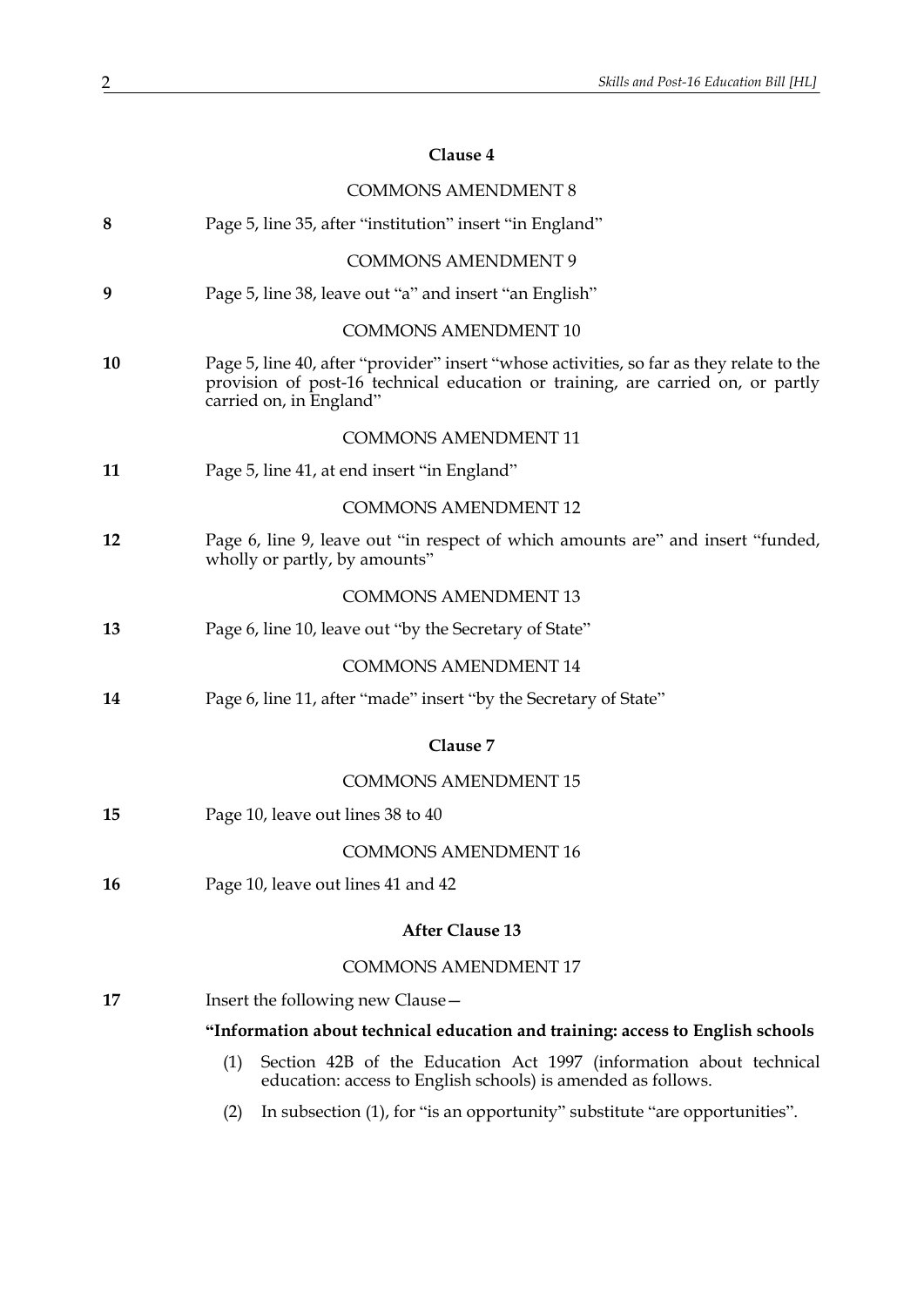# **Clause 4**

|    | <b>COMMONS AMENDMENT 8</b>                                                                                                                                                                             |
|----|--------------------------------------------------------------------------------------------------------------------------------------------------------------------------------------------------------|
| 8  | Page 5, line 35, after "institution" insert "in England"                                                                                                                                               |
|    | <b>COMMONS AMENDMENT 9</b>                                                                                                                                                                             |
| 9  | Page 5, line 38, leave out "a" and insert "an English"                                                                                                                                                 |
|    | <b>COMMONS AMENDMENT 10</b>                                                                                                                                                                            |
| 10 | Page 5, line 40, after "provider" insert "whose activities, so far as they relate to the<br>provision of post-16 technical education or training, are carried on, or partly<br>carried on, in England" |
|    | <b>COMMONS AMENDMENT 11</b>                                                                                                                                                                            |
| 11 | Page 5, line 41, at end insert "in England"                                                                                                                                                            |
|    | <b>COMMONS AMENDMENT 12</b>                                                                                                                                                                            |
| 12 | Page 6, line 9, leave out "in respect of which amounts are" and insert "funded,<br>wholly or partly, by amounts"                                                                                       |
|    | <b>COMMONS AMENDMENT 13</b>                                                                                                                                                                            |
| 13 | Page 6, line 10, leave out "by the Secretary of State"                                                                                                                                                 |
|    | <b>COMMONS AMENDMENT 14</b>                                                                                                                                                                            |
| 14 | Page 6, line 11, after "made" insert "by the Secretary of State"                                                                                                                                       |
|    | Clause 7                                                                                                                                                                                               |
|    | <b>COMMONS AMENDMENT 15</b>                                                                                                                                                                            |
| 15 | Page 10, leave out lines 38 to 40                                                                                                                                                                      |
|    | <b>COMMONS AMENDMENT 16</b>                                                                                                                                                                            |
| 16 | Page 10, leave out lines 41 and 42                                                                                                                                                                     |
|    | <b>After Clause 13</b>                                                                                                                                                                                 |
|    | <b>COMMONS AMENDMENT 17</b>                                                                                                                                                                            |
| 17 | Insert the following new Clause -                                                                                                                                                                      |
|    | "Information about technical education and training: access to English schools                                                                                                                         |
|    | Section 42B of the Education Act 1997 (information about technical<br>(1)<br>education: access to English schools) is amended as follows.                                                              |
|    | In subsection (1), for "is an opportunity" substitute "are opportunities".<br>(2)                                                                                                                      |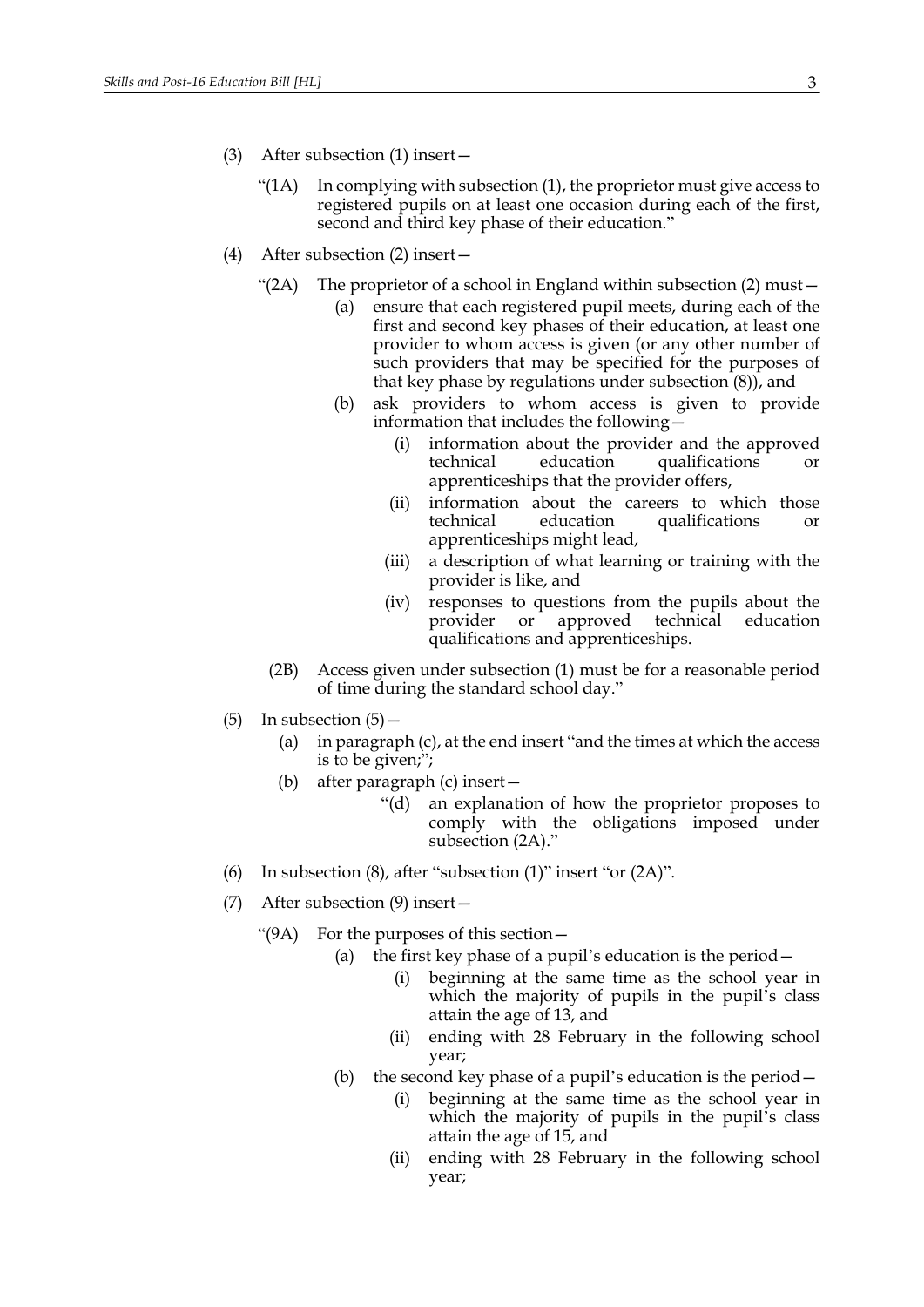- (3) After subsection (1) insert—
	- "( $1$ A) In complying with subsection  $(1)$ , the proprietor must give access to registered pupils on at least one occasion during each of the first, second and third key phase of their education."
- <span id="page-2-0"></span>(4) After subsection (2) insert—
	- "(2A) The proprietor of a school in England within subsection (2) must  $-$ 
		- (a) ensure that each registered pupil meets, during each of the first and second key phases of their education, at least one provider to whom access is given (or any other number of such providers that may be specified for the purposes of that key phase by regulations under subsection (8)), and
		- (b) ask providers to whom access is given to provide information that includes the following—
			- (i) information about the provider and the approved technical education qualifications or apprenticeships that the provider offers,
			- (ii) information about the careers to which those technical education qualifications or apprenticeships might lead,
			- (iii) a description of what learning or training with the provider is like, and
			- (iv) responses to questions from the pupils about the provider or approved technical education qualifications and apprenticeships.
		- (2B) Access given under subsection (1) must be for a reasonable period of time during the standard school day."
- (5) In subsection  $(5)$ 
	- (a) in paragraph (c), at the end insert "and the times at which the access is to be given;";
	- (b) after paragraph (c) insert—
		- "(d) an explanation of how the proprietor proposes to comply with the obligations imposed under subsection [\(2A\)](#page-2-0)."
- (6) In subsection (8), after "subsection (1)" insert "or [\(2A\)"](#page-2-0).
- (7) After subsection (9) insert—
	- "(9A) For the purposes of this section—
		- (a) the first key phase of a pupil's education is the period—
			- (i) beginning at the same time as the school year in which the majority of pupils in the pupil's class attain the age of 13, and
			- (ii) ending with 28 February in the following school year;
		- (b) the second key phase of a pupil's education is the period—
			- (i) beginning at the same time as the school year in which the majority of pupils in the pupil's class attain the age of 15, and
			- (ii) ending with 28 February in the following school year;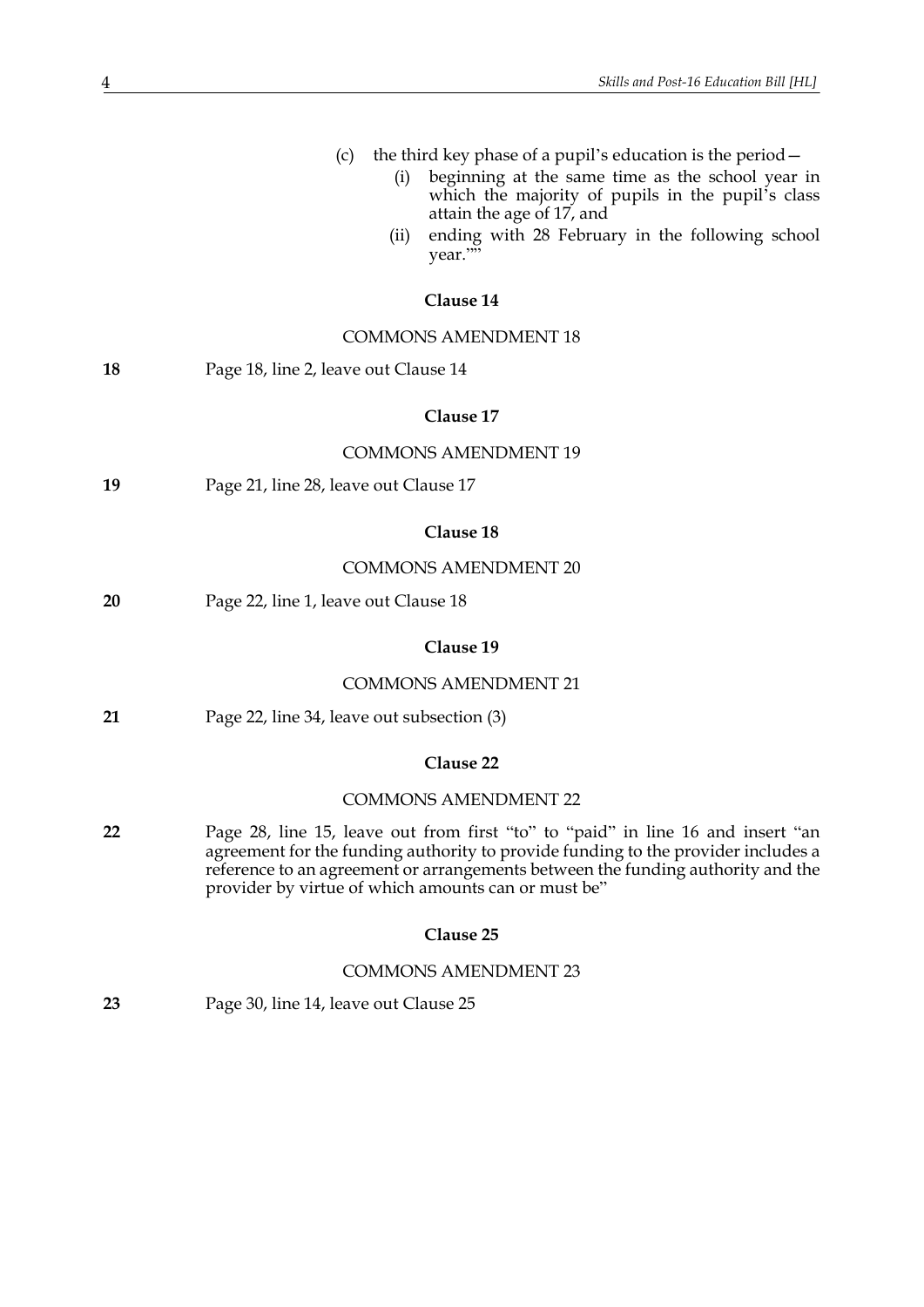|    | the third key phase of a pupil's education is the period $-$<br>(c)<br>beginning at the same time as the school year in<br>(i)<br>which the majority of pupils in the pupil's class<br>attain the age of 17, and<br>ending with 28 February in the following school<br>(ii)<br>year.""<br>Clause 14<br><b>COMMONS AMENDMENT 18</b> |
|----|------------------------------------------------------------------------------------------------------------------------------------------------------------------------------------------------------------------------------------------------------------------------------------------------------------------------------------|
| 18 | Page 18, line 2, leave out Clause 14                                                                                                                                                                                                                                                                                               |
|    | Clause 17                                                                                                                                                                                                                                                                                                                          |
|    | <b>COMMONS AMENDMENT 19</b>                                                                                                                                                                                                                                                                                                        |
| 19 | Page 21, line 28, leave out Clause 17                                                                                                                                                                                                                                                                                              |
|    | Clause 18                                                                                                                                                                                                                                                                                                                          |
|    | <b>COMMONS AMENDMENT 20</b>                                                                                                                                                                                                                                                                                                        |
| 20 | Page 22, line 1, leave out Clause 18                                                                                                                                                                                                                                                                                               |
|    | Clause 19                                                                                                                                                                                                                                                                                                                          |
|    | <b>COMMONS AMENDMENT 21</b>                                                                                                                                                                                                                                                                                                        |
| 21 | Page 22, line 34, leave out subsection (3)                                                                                                                                                                                                                                                                                         |
|    | Clause 22                                                                                                                                                                                                                                                                                                                          |
|    | <b>COMMONS AMENDMENT 22</b>                                                                                                                                                                                                                                                                                                        |
| 22 | Page 28, line 15, leave out from first "to" to "paid" in line 16 and insert "an<br>agreement for the funding authority to provide funding to the provider includes a<br>reference to an agreement or arrangements between the funding authority and the<br>provider by virtue of which amounts can or must be"                     |
|    | Clause 25                                                                                                                                                                                                                                                                                                                          |
|    | <b>COMMONS AMENDMENT 23</b>                                                                                                                                                                                                                                                                                                        |
| 23 | Page 30, line 14, leave out Clause 25                                                                                                                                                                                                                                                                                              |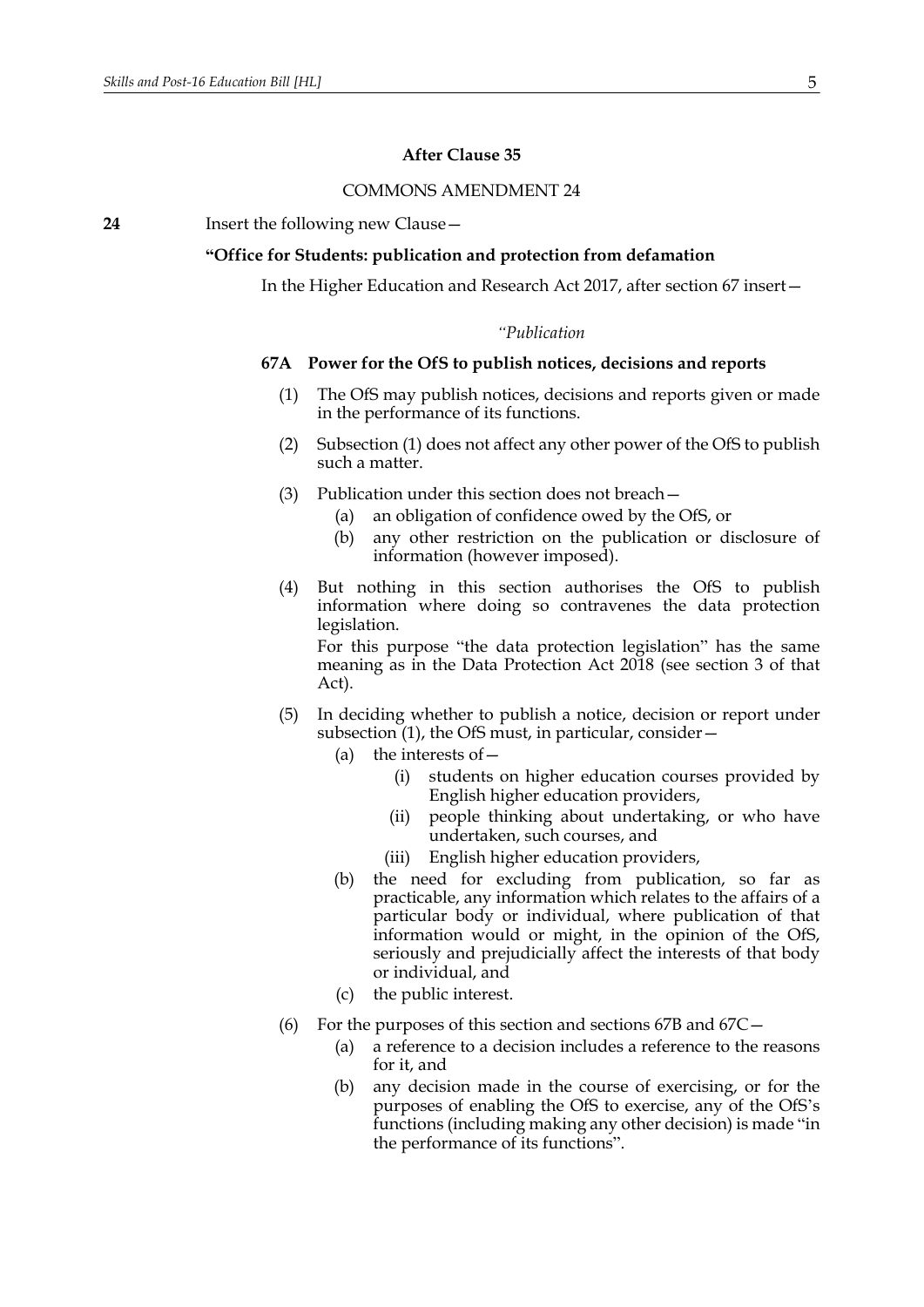#### **After Clause 35**

### COMMONS AMENDMENT 24

**24** Insert the following new Clause—

#### **"Office for Students: publication and protection from defamation**

In the Higher Education and Research Act 2017, after section 67 insert—

## *"Publication*

### <span id="page-4-1"></span><span id="page-4-0"></span>**67A Power for the OfS to publish notices, decisions and reports**

- (1) The OfS may publish notices, decisions and reports given or made in the performance of its functions.
- (2) Subsection [\(1\)](#page-4-0) does not affect any other power of the OfS to publish such a matter.
- (3) Publication under this section does not breach—
	- (a) an obligation of confidence owed by the OfS, or
	- (b) any other restriction on the publication or disclosure of information (however imposed).
- (4) But nothing in this section authorises the OfS to publish information where doing so contravenes the data protection legislation.

For this purpose "the data protection legislation" has the same meaning as in the Data Protection Act 2018 (see section 3 of that Act).

- (5) In deciding whether to publish a notice, decision or report under subsection [\(1\)](#page-4-0), the OfS must, in particular, consider—
	- (a) the interests of  $-$ 
		- (i) students on higher education courses provided by English higher education providers,
		- (ii) people thinking about undertaking, or who have undertaken, such courses, and
		- (iii) English higher education providers,
	- (b) the need for excluding from publication, so far as practicable, any information which relates to the affairs of a particular body or individual, where publication of that information would or might, in the opinion of the OfS, seriously and prejudicially affect the interests of that body or individual, and
	- (c) the public interest.
- <span id="page-4-2"></span>(6) For the purposes of this section and sections [67B](#page-5-0) and [67C](#page-5-1)—
	- (a) a reference to a decision includes a reference to the reasons for it, and
	- (b) any decision made in the course of exercising, or for the purposes of enabling the OfS to exercise, any of the OfS's functions (including making any other decision) is made "in the performance of its functions".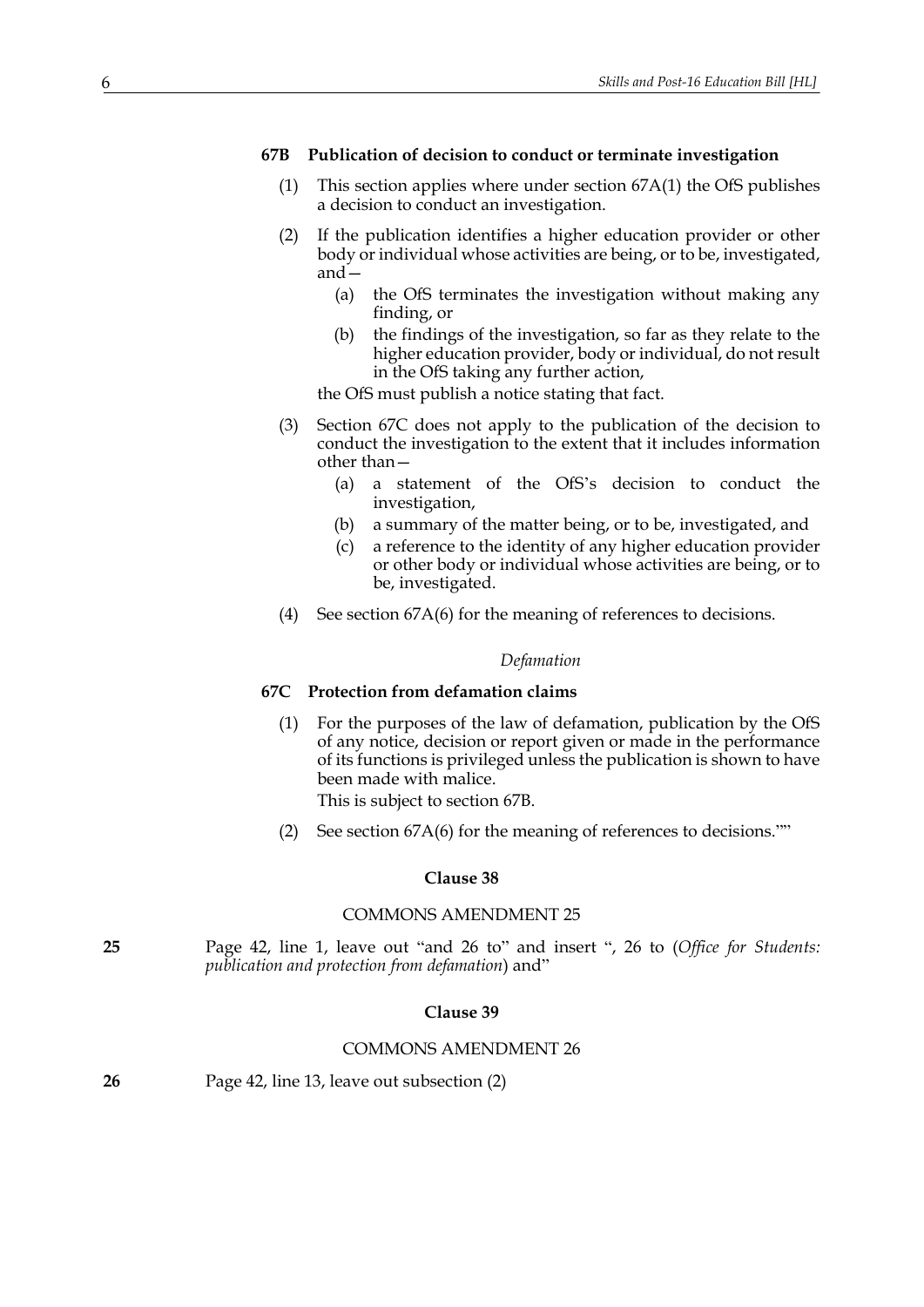#### <span id="page-5-0"></span>**67B Publication of decision to conduct or terminate investigation**

- (1) This section applies where under section [67A](#page-4-1)[\(1\)](#page-4-0) the OfS publishes a decision to conduct an investigation.
- (2) If the publication identifies a higher education provider or other body or individual whose activities are being, or to be, investigated, and—
	- (a) the OfS terminates the investigation without making any finding, or
	- (b) the findings of the investigation, so far as they relate to the higher education provider, body or individual, do not result in the OfS taking any further action,

the OfS must publish a notice stating that fact.

- (3) Section [67C](#page-5-1) does not apply to the publication of the decision to conduct the investigation to the extent that it includes information other than—
	- (a) a statement of the OfS's decision to conduct the investigation,
	- (b) a summary of the matter being, or to be, investigated, and
	- (c) a reference to the identity of any higher education provider or other body or individual whose activities are being, or to be, investigated.
- (4) See section [67A](#page-4-1)[\(6\)](#page-4-2) for the meaning of references to decisions.

### *Defamation*

### <span id="page-5-1"></span>**67C Protection from defamation claims**

(1) For the purposes of the law of defamation, publication by the OfS of any notice, decision or report given or made in the performance of its functions is privileged unless the publication is shown to have been made with malice.

This is subject to section [67B](#page-5-0).

(2) See section [67A](#page-4-1)[\(6\)](#page-4-2) for the meaning of references to decisions.""

### **Clause 38**

#### COMMONS AMENDMENT 25

**25** Page 42, line 1, leave out "and 26 to" and insert ", 26 to (*Office for Students: publication and protection from defamation*) and"

## **Clause 39**

#### COMMONS AMENDMENT 26

|  | 26 | Page 42, line 13, leave out subsection (2) |
|--|----|--------------------------------------------|
|--|----|--------------------------------------------|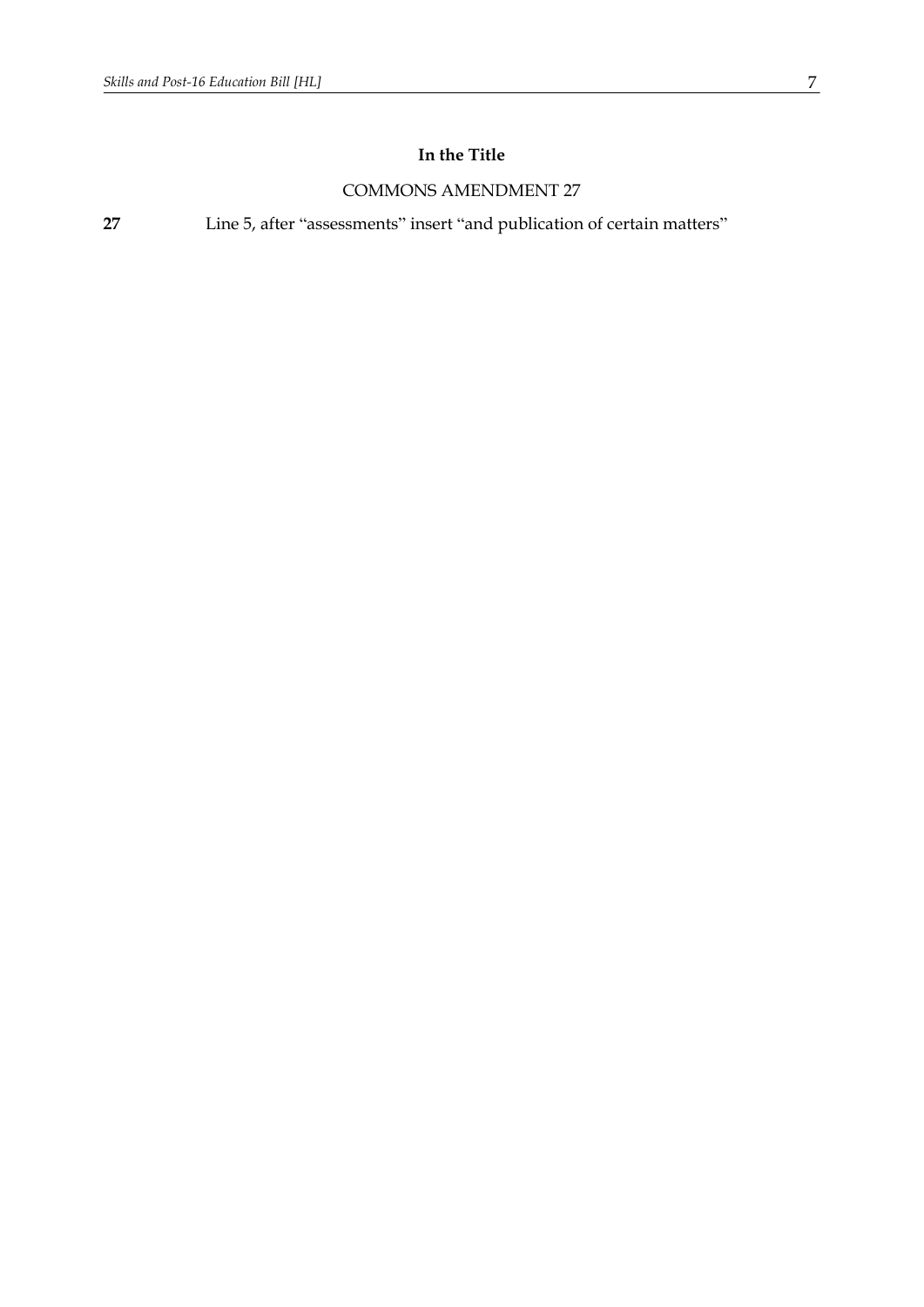# **In the Title**

## COMMONS AMENDMENT 27

**27** Line 5, after "assessments" insert "and publication of certain matters"